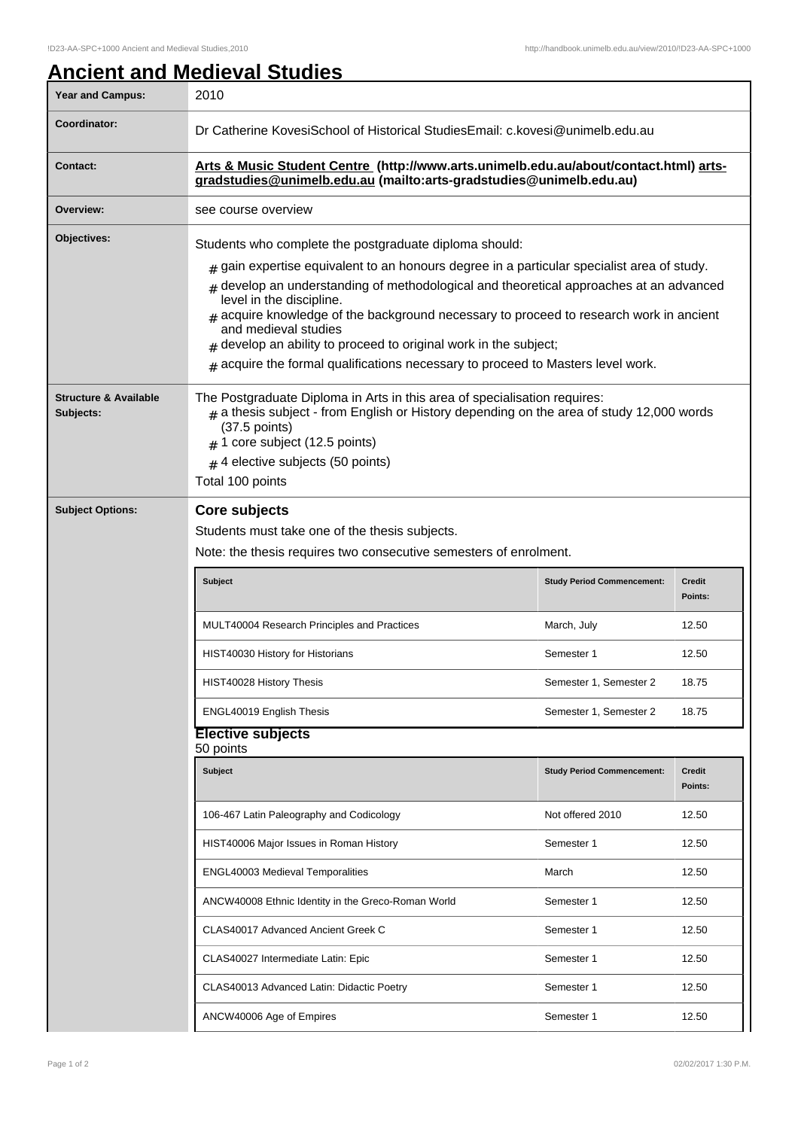## **Ancient and Medieval Studies**

| <b>Year and Campus:</b>                       | 2010                                                                                                                                                                                                                                                                                                                                                                                                                                                                                                                                                         |                                   |                          |  |
|-----------------------------------------------|--------------------------------------------------------------------------------------------------------------------------------------------------------------------------------------------------------------------------------------------------------------------------------------------------------------------------------------------------------------------------------------------------------------------------------------------------------------------------------------------------------------------------------------------------------------|-----------------------------------|--------------------------|--|
| Coordinator:                                  | Dr Catherine KovesiSchool of Historical StudiesEmail: c.kovesi@unimelb.edu.au                                                                                                                                                                                                                                                                                                                                                                                                                                                                                |                                   |                          |  |
| <b>Contact:</b>                               | Arts & Music Student Centre (http://www.arts.unimelb.edu.au/about/contact.html) arts-<br>gradstudies@unimelb.edu.au (mailto:arts-gradstudies@unimelb.edu.au)                                                                                                                                                                                                                                                                                                                                                                                                 |                                   |                          |  |
| Overview:                                     | see course overview                                                                                                                                                                                                                                                                                                                                                                                                                                                                                                                                          |                                   |                          |  |
| Objectives:                                   | Students who complete the postgraduate diploma should:<br>$_{\text{\#}}$ gain expertise equivalent to an honours degree in a particular specialist area of study.<br>develop an understanding of methodological and theoretical approaches at an advanced<br>level in the discipline.<br>acquire knowledge of the background necessary to proceed to research work in ancient<br>and medieval studies<br>develop an ability to proceed to original work in the subject;<br>$*$ acquire the formal qualifications necessary to proceed to Masters level work. |                                   |                          |  |
| <b>Structure &amp; Available</b><br>Subjects: | The Postgraduate Diploma in Arts in this area of specialisation requires:<br>$_{\text{\#}}$ a thesis subject - from English or History depending on the area of study 12,000 words<br>$(37.5$ points)<br>$#$ 1 core subject (12.5 points)<br>$#$ 4 elective subjects (50 points)<br>Total 100 points                                                                                                                                                                                                                                                         |                                   |                          |  |
| <b>Subject Options:</b>                       | <b>Core subjects</b><br>Students must take one of the thesis subjects.<br>Note: the thesis requires two consecutive semesters of enrolment.<br><b>Subject</b>                                                                                                                                                                                                                                                                                                                                                                                                | <b>Study Period Commencement:</b> | <b>Credit</b><br>Points: |  |
|                                               | MULT40004 Research Principles and Practices                                                                                                                                                                                                                                                                                                                                                                                                                                                                                                                  | March, July                       | 12.50                    |  |
|                                               | HIST40030 History for Historians                                                                                                                                                                                                                                                                                                                                                                                                                                                                                                                             | Semester 1                        | 12.50                    |  |
|                                               | HIST40028 History Thesis                                                                                                                                                                                                                                                                                                                                                                                                                                                                                                                                     | Semester 1, Semester 2            | 18.75                    |  |
|                                               | ENGL40019 English Thesis                                                                                                                                                                                                                                                                                                                                                                                                                                                                                                                                     | Semester 1, Semester 2            | 18.75                    |  |
|                                               | <b>Elective subjects</b><br>50 points                                                                                                                                                                                                                                                                                                                                                                                                                                                                                                                        |                                   |                          |  |
|                                               | <b>Subject</b>                                                                                                                                                                                                                                                                                                                                                                                                                                                                                                                                               |                                   |                          |  |
|                                               |                                                                                                                                                                                                                                                                                                                                                                                                                                                                                                                                                              | <b>Study Period Commencement:</b> | <b>Credit</b><br>Points: |  |
|                                               | 106-467 Latin Paleography and Codicology                                                                                                                                                                                                                                                                                                                                                                                                                                                                                                                     | Not offered 2010                  | 12.50                    |  |
|                                               | HIST40006 Major Issues in Roman History                                                                                                                                                                                                                                                                                                                                                                                                                                                                                                                      | Semester 1                        | 12.50                    |  |
|                                               | ENGL40003 Medieval Temporalities                                                                                                                                                                                                                                                                                                                                                                                                                                                                                                                             | March                             | 12.50                    |  |
|                                               | ANCW40008 Ethnic Identity in the Greco-Roman World                                                                                                                                                                                                                                                                                                                                                                                                                                                                                                           | Semester 1                        | 12.50                    |  |
|                                               | CLAS40017 Advanced Ancient Greek C                                                                                                                                                                                                                                                                                                                                                                                                                                                                                                                           | Semester 1                        | 12.50                    |  |
|                                               | CLAS40027 Intermediate Latin: Epic                                                                                                                                                                                                                                                                                                                                                                                                                                                                                                                           | Semester 1                        | 12.50                    |  |
|                                               | CLAS40013 Advanced Latin: Didactic Poetry                                                                                                                                                                                                                                                                                                                                                                                                                                                                                                                    | Semester 1                        | 12.50                    |  |